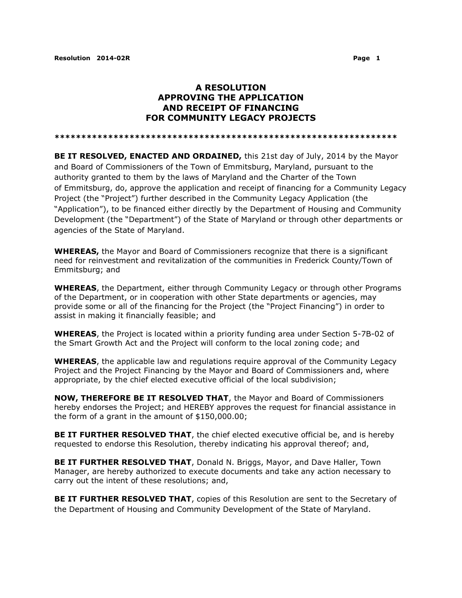## **A RESOLUTION APPROVING THE APPLICATION AND RECEIPT OF FINANCING FOR COMMUNITY LEGACY PROJECTS**

**\*\*\*\*\*\*\*\*\*\*\*\*\*\*\*\*\*\*\*\*\*\*\*\*\*\*\*\*\*\*\*\*\*\*\*\*\*\*\*\*\*\*\*\*\*\*\*\*\*\*\*\*\*\*\*\*\*\*\*\*\*\*\*\***

**BE IT RESOLVED, ENACTED AND ORDAINED,** this 21st day of July, 2014 by the Mayor and Board of Commissioners of the Town of Emmitsburg, Maryland, pursuant to the authority granted to them by the laws of Maryland and the Charter of the Town of Emmitsburg, do, approve the application and receipt of financing for a Community Legacy Project (the "Project") further described in the Community Legacy Application (the "Application"), to be financed either directly by the Department of Housing and Community Development (the "Department") of the State of Maryland or through other departments or agencies of the State of Maryland.

**WHEREAS,** the Mayor and Board of Commissioners recognize that there is a significant need for reinvestment and revitalization of the communities in Frederick County/Town of Emmitsburg; and

**WHEREAS**, the Department, either through Community Legacy or through other Programs of the Department, or in cooperation with other State departments or agencies, may provide some or all of the financing for the Project (the "Project Financing") in order to assist in making it financially feasible; and

**WHEREAS**, the Project is located within a priority funding area under Section 5-7B-02 of the Smart Growth Act and the Project will conform to the local zoning code; and

**WHEREAS**, the applicable law and regulations require approval of the Community Legacy Project and the Project Financing by the Mayor and Board of Commissioners and, where appropriate, by the chief elected executive official of the local subdivision;

**NOW, THEREFORE BE IT RESOLVED THAT**, the Mayor and Board of Commissioners hereby endorses the Project; and HEREBY approves the request for financial assistance in the form of a grant in the amount of \$150,000.00;

**BE IT FURTHER RESOLVED THAT**, the chief elected executive official be, and is hereby requested to endorse this Resolution, thereby indicating his approval thereof; and,

**BE IT FURTHER RESOLVED THAT**, Donald N. Briggs, Mayor, and Dave Haller, Town Manager, are hereby authorized to execute documents and take any action necessary to carry out the intent of these resolutions; and,

**BE IT FURTHER RESOLVED THAT**, copies of this Resolution are sent to the Secretary of the Department of Housing and Community Development of the State of Maryland.